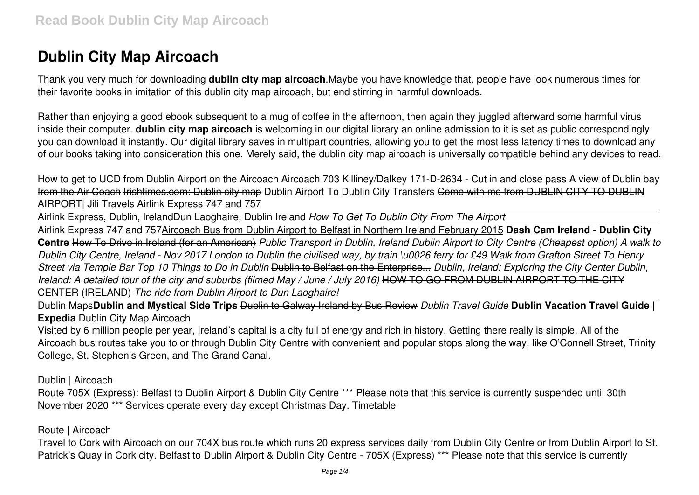# **Dublin City Map Aircoach**

Thank you very much for downloading **dublin city map aircoach**.Maybe you have knowledge that, people have look numerous times for their favorite books in imitation of this dublin city map aircoach, but end stirring in harmful downloads.

Rather than enjoying a good ebook subsequent to a mug of coffee in the afternoon, then again they juggled afterward some harmful virus inside their computer. **dublin city map aircoach** is welcoming in our digital library an online admission to it is set as public correspondingly you can download it instantly. Our digital library saves in multipart countries, allowing you to get the most less latency times to download any of our books taking into consideration this one. Merely said, the dublin city map aircoach is universally compatible behind any devices to read.

How to get to UCD from Dublin Airport on the Aircoach Aircoach 703 Killiney/Dalkey 171-D-2634 - Cut in and close pass A view of Dublin bay from the Air Coach Irishtimes.com: Dublin city map Dublin Airport To Dublin City Transfers Come with me from DUBLIN CITY TO DUBLIN AIRPORT| Jili Travels Airlink Express 747 and 757

Airlink Express, Dublin, IrelandDun Laoghaire, Dublin Ireland *How To Get To Dublin City From The Airport*

Airlink Express 747 and 757Aircoach Bus from Dublin Airport to Belfast in Northern Ireland February 2015 **Dash Cam Ireland - Dublin City Centre** How To Drive in Ireland (for an American) *Public Transport in Dublin, Ireland Dublin Airport to City Centre (Cheapest option) A walk to Dublin City Centre, Ireland - Nov 2017 London to Dublin the civilised way, by train \u0026 ferry for £49 Walk from Grafton Street To Henry Street via Temple Bar Top 10 Things to Do in Dublin* Dublin to Belfast on the Enterprise... *Dublin, Ireland: Exploring the City Center Dublin, Ireland: A detailed tour of the city and suburbs (filmed May / June / July 2016)* HOW TO GO FROM DUBLIN AIRPORT TO THE CITY CENTER (IRELAND) *The ride from Dublin Airport to Dun Laoghaire!*

Dublin Maps**Dublin and Mystical Side Trips** Dublin to Galway Ireland by Bus Review *Dublin Travel Guide* **Dublin Vacation Travel Guide | Expedia** Dublin City Map Aircoach

Visited by 6 million people per year, Ireland's capital is a city full of energy and rich in history. Getting there really is simple. All of the Aircoach bus routes take you to or through Dublin City Centre with convenient and popular stops along the way, like O'Connell Street, Trinity College, St. Stephen's Green, and The Grand Canal.

Dublin | Aircoach

Route 705X (Express): Belfast to Dublin Airport & Dublin City Centre \*\*\* Please note that this service is currently suspended until 30th November 2020 \*\*\* Services operate every day except Christmas Day. Timetable

Route | Aircoach

Travel to Cork with Aircoach on our 704X bus route which runs 20 express services daily from Dublin City Centre or from Dublin Airport to St. Patrick's Quay in Cork city. Belfast to Dublin Airport & Dublin City Centre - 705X (Express) \*\*\* Please note that this service is currently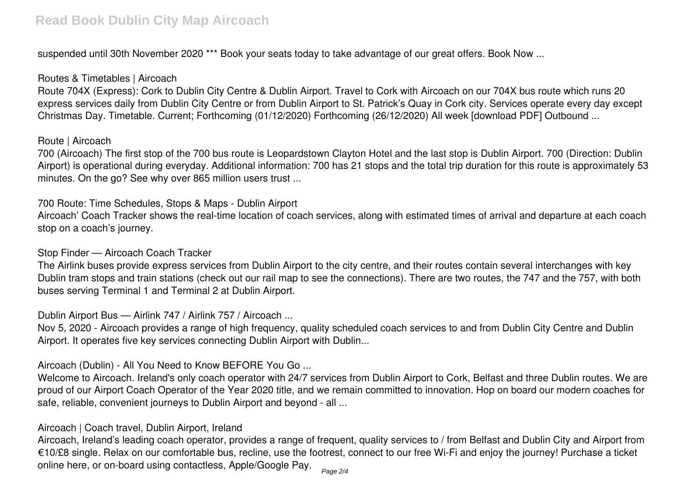suspended until 30th November 2020<sup>\*\*\*</sup> Book your seats today to take advantage of our great offers. Book Now ...

### Routes & Timetables | Aircoach

Route 704X (Express): Cork to Dublin City Centre & Dublin Airport. Travel to Cork with Aircoach on our 704X bus route which runs 20 express services daily from Dublin City Centre or from Dublin Airport to St. Patrick's Quay in Cork city. Services operate every day except Christmas Day. Timetable. Current; Forthcoming (01/12/2020) Forthcoming (26/12/2020) All week [download PDF] Outbound ...

#### Route | Aircoach

700 (Aircoach) The first stop of the 700 bus route is Leopardstown Clayton Hotel and the last stop is Dublin Airport. 700 (Direction: Dublin Airport) is operational during everyday. Additional information: 700 has 21 stops and the total trip duration for this route is approximately 53 minutes. On the go? See why over 865 million users trust ...

700 Route: Time Schedules, Stops & Maps - Dublin Airport

Aircoach' Coach Tracker shows the real-time location of coach services, along with estimated times of arrival and departure at each coach stop on a coach's journey.

#### Stop Finder — Aircoach Coach Tracker

The Airlink buses provide express services from Dublin Airport to the city centre, and their routes contain several interchanges with key Dublin tram stops and train stations (check out our rail map to see the connections). There are two routes, the 747 and the 757, with both buses serving Terminal 1 and Terminal 2 at Dublin Airport.

Dublin Airport Bus — Airlink 747 / Airlink 757 / Aircoach ...

Nov 5, 2020 - Aircoach provides a range of high frequency, quality scheduled coach services to and from Dublin City Centre and Dublin Airport. It operates five key services connecting Dublin Airport with Dublin...

Aircoach (Dublin) - All You Need to Know BEFORE You Go ...

Welcome to Aircoach. Ireland's only coach operator with 24/7 services from Dublin Airport to Cork, Belfast and three Dublin routes. We are proud of our Airport Coach Operator of the Year 2020 title, and we remain committed to innovation. Hop on board our modern coaches for safe, reliable, convenient journeys to Dublin Airport and beyond - all ...

#### Aircoach | Coach travel, Dublin Airport, Ireland

Aircoach, Ireland's leading coach operator, provides a range of frequent, quality services to / from Belfast and Dublin City and Airport from €10/£8 single. Relax on our comfortable bus, recline, use the footrest, connect to our free Wi-Fi and enjoy the journey! Purchase a ticket online here, or on-board using contactless, Apple/Google Pay. Page 2/4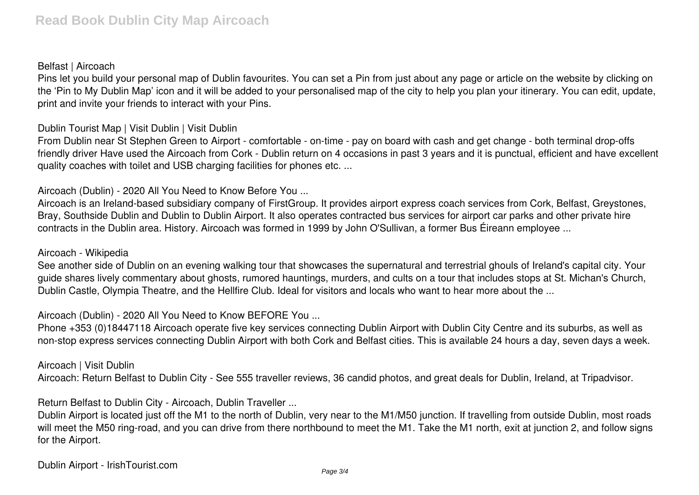#### Belfast | Aircoach

Pins let you build your personal map of Dublin favourites. You can set a Pin from just about any page or article on the website by clicking on the 'Pin to My Dublin Map' icon and it will be added to your personalised map of the city to help you plan your itinerary. You can edit, update, print and invite your friends to interact with your Pins.

#### Dublin Tourist Map | Visit Dublin | Visit Dublin

From Dublin near St Stephen Green to Airport - comfortable - on-time - pay on board with cash and get change - both terminal drop-offs friendly driver Have used the Aircoach from Cork - Dublin return on 4 occasions in past 3 years and it is punctual, efficient and have excellent quality coaches with toilet and USB charging facilities for phones etc. ...

Aircoach (Dublin) - 2020 All You Need to Know Before You ...

Aircoach is an Ireland-based subsidiary company of FirstGroup. It provides airport express coach services from Cork, Belfast, Greystones, Bray, Southside Dublin and Dublin to Dublin Airport. It also operates contracted bus services for airport car parks and other private hire contracts in the Dublin area. History. Aircoach was formed in 1999 by John O'Sullivan, a former Bus Éireann employee ...

#### Aircoach - Wikipedia

See another side of Dublin on an evening walking tour that showcases the supernatural and terrestrial ghouls of Ireland's capital city. Your guide shares lively commentary about ghosts, rumored hauntings, murders, and cults on a tour that includes stops at St. Michan's Church, Dublin Castle, Olympia Theatre, and the Hellfire Club. Ideal for visitors and locals who want to hear more about the ...

Aircoach (Dublin) - 2020 All You Need to Know BEFORE You ...

Phone +353 (0)18447118 Aircoach operate five key services connecting Dublin Airport with Dublin City Centre and its suburbs, as well as non-stop express services connecting Dublin Airport with both Cork and Belfast cities. This is available 24 hours a day, seven days a week.

Aircoach | Visit Dublin Aircoach: Return Belfast to Dublin City - See 555 traveller reviews, 36 candid photos, and great deals for Dublin, Ireland, at Tripadvisor.

Return Belfast to Dublin City - Aircoach, Dublin Traveller ...

Dublin Airport is located just off the M1 to the north of Dublin, very near to the M1/M50 junction. If travelling from outside Dublin, most roads will meet the M50 ring-road, and you can drive from there northbound to meet the M1. Take the M1 north, exit at junction 2, and follow signs for the Airport.